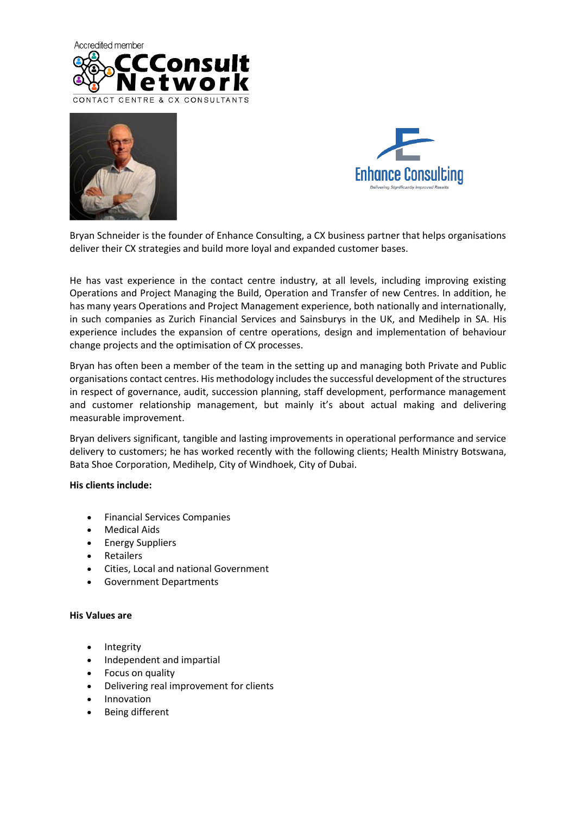





Bryan Schneider is the founder of Enhance Consulting, a CX business partner that helps organisations deliver their CX strategies and build more loyal and expanded customer bases.

He has vast experience in the contact centre industry, at all levels, including improving existing Operations and Project Managing the Build, Operation and Transfer of new Centres. In addition, he has many years Operations and Project Management experience, both nationally and internationally, in such companies as Zurich Financial Services and Sainsburys in the UK, and Medihelp in SA. His experience includes the expansion of centre operations, design and implementation of behaviour change projects and the optimisation of CX processes.

Bryan has often been a member of the team in the setting up and managing both Private and Public organisations contact centres. His methodology includes the successful development of the structures in respect of governance, audit, succession planning, staff development, performance management and customer relationship management, but mainly it's about actual making and delivering measurable improvement.

Bryan delivers significant, tangible and lasting improvements in operational performance and service delivery to customers; he has worked recently with the following clients; Health Ministry Botswana, Bata Shoe Corporation, Medihelp, City of Windhoek, City of Dubai.

### **His clients include:**

- Financial Services Companies
- Medical Aids
- Energy Suppliers
- **Retailers**
- Cities, Local and national Government
- Government Departments

### **His Values are**

- Integrity
- Independent and impartial
- Focus on quality
- Delivering real improvement for clients
- Innovation
- Being different